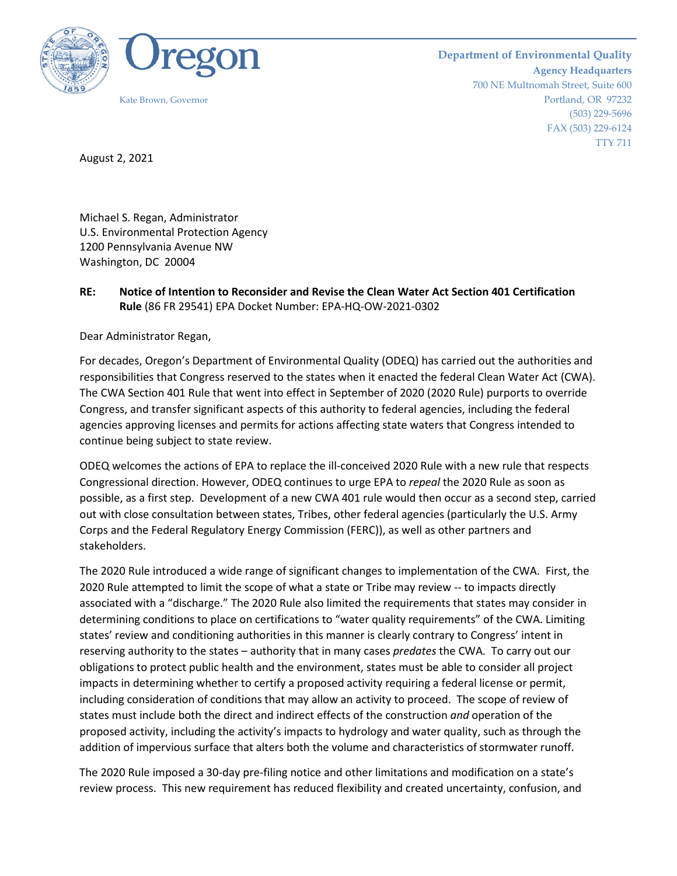

**Department of Environmental Quality Agency Headquarters** 700 NE Multnomah Street, Suite 600 Kate Brown, Governor Portland, OR 97232 (503) 229-5696 FAX (503) 229-6124 TTY 711

August 2, 2021

Michael S. Regan, Administrator U.S. Environmental Protection Agency 1200 Pennsylvania Avenue NW Washington, DC 20004

# **RE: Notice of Intention to Reconsider and Revise the Clean Water Act Section 401 Certification Rule** (86 FR 29541) EPA Docket Number: EPA-HQ-OW-2021-0302

Dear Administrator Regan,

For decades, Oregon's Department of Environmental Quality (ODEQ) has carried out the authorities and responsibilities that Congress reserved to the states when it enacted the federal Clean Water Act (CWA). The CWA Section 401 Rule that went into effect in September of 2020 (2020 Rule) purports to override Congress, and transfer significant aspects of this authority to federal agencies, including the federal agencies approving licenses and permits for actions affecting state waters that Congress intended to continue being subject to state review.

ODEQ welcomes the actions of EPA to replace the ill-conceived 2020 Rule with a new rule that respects Congressional direction. However, ODEQ continues to urge EPA to *repeal* the 2020 Rule as soon as possible, as a first step. Development of a new CWA 401 rule would then occur as a second step, carried out with close consultation between states, Tribes, other federal agencies (particularly the U.S. Army Corps and the Federal Regulatory Energy Commission (FERC)), as well as other partners and stakeholders.

The 2020 Rule introduced a wide range of significant changes to implementation of the CWA. First, the 2020 Rule attempted to limit the scope of what a state or Tribe may review -- to impacts directly associated with a "discharge." The 2020 Rule also limited the requirements that states may consider in determining conditions to place on certifications to "water quality requirements" of the CWA. Limiting states' review and conditioning authorities in this manner is clearly contrary to Congress' intent in reserving authority to the states – authority that in many cases *predates* the CWA. To carry out our obligations to protect public health and the environment, states must be able to consider all project impacts in determining whether to certify a proposed activity requiring a federal license or permit, including consideration of conditions that may allow an activity to proceed. The scope of review of states must include both the direct and indirect effects of the construction *and* operation of the proposed activity, including the activity's impacts to hydrology and water quality, such as through the addition of impervious surface that alters both the volume and characteristics of stormwater runoff.

The 2020 Rule imposed a 30-day pre-filing notice and other limitations and modification on a state's review process. This new requirement has reduced flexibility and created uncertainty, confusion, and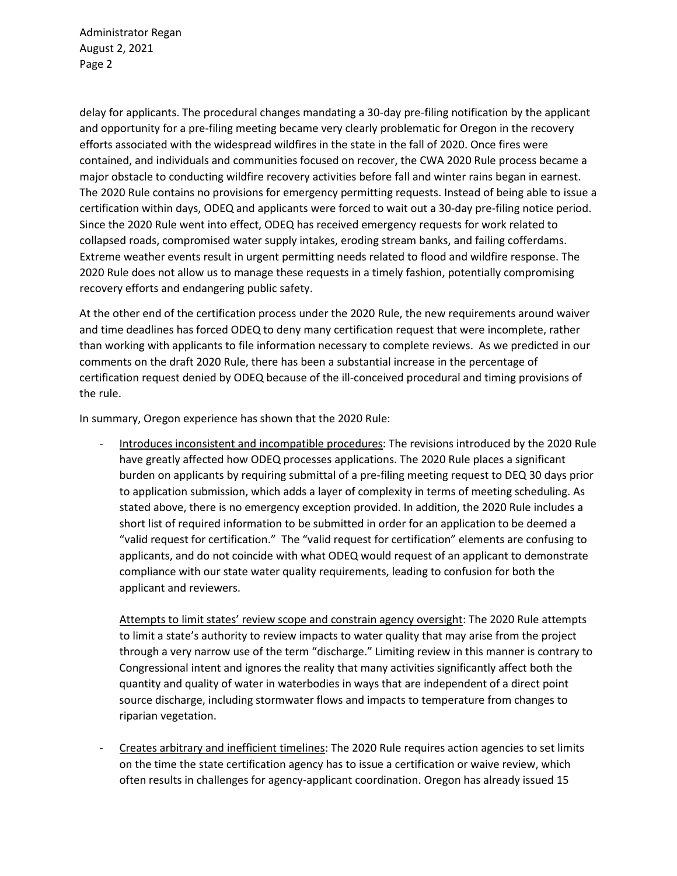Administrator Regan August 2, 2021 Page 2

delay for applicants. The procedural changes mandating a 30-day pre-filing notification by the applicant and opportunity for a pre-filing meeting became very clearly problematic for Oregon in the recovery efforts associated with the widespread wildfires in the state in the fall of 2020. Once fires were contained, and individuals and communities focused on recover, the CWA 2020 Rule process became a major obstacle to conducting wildfire recovery activities before fall and winter rains began in earnest. The 2020 Rule contains no provisions for emergency permitting requests. Instead of being able to issue a certification within days, ODEQ and applicants were forced to wait out a 30-day pre-filing notice period. Since the 2020 Rule went into effect, ODEQ has received emergency requests for work related to collapsed roads, compromised water supply intakes, eroding stream banks, and failing cofferdams. Extreme weather events result in urgent permitting needs related to flood and wildfire response. The 2020 Rule does not allow us to manage these requests in a timely fashion, potentially compromising recovery efforts and endangering public safety.

At the other end of the certification process under the 2020 Rule, the new requirements around waiver and time deadlines has forced ODEQ to deny many certification request that were incomplete, rather than working with applicants to file information necessary to complete reviews. As we predicted in our comments on the draft 2020 Rule, there has been a substantial increase in the percentage of certification request denied by ODEQ because of the ill-conceived procedural and timing provisions of the rule.

In summary, Oregon experience has shown that the 2020 Rule:

- Introduces inconsistent and incompatible procedures: The revisions introduced by the 2020 Rule have greatly affected how ODEQ processes applications. The 2020 Rule places a significant burden on applicants by requiring submittal of a pre-filing meeting request to DEQ 30 days prior to application submission, which adds a layer of complexity in terms of meeting scheduling. As stated above, there is no emergency exception provided. In addition, the 2020 Rule includes a short list of required information to be submitted in order for an application to be deemed a "valid request for certification." The "valid request for certification" elements are confusing to applicants, and do not coincide with what ODEQ would request of an applicant to demonstrate compliance with our state water quality requirements, leading to confusion for both the applicant and reviewers.

Attempts to limit states' review scope and constrain agency oversight: The 2020 Rule attempts to limit a state's authority to review impacts to water quality that may arise from the project through a very narrow use of the term "discharge." Limiting review in this manner is contrary to Congressional intent and ignores the reality that many activities significantly affect both the quantity and quality of water in waterbodies in ways that are independent of a direct point source discharge, including stormwater flows and impacts to temperature from changes to riparian vegetation.

- Creates arbitrary and inefficient timelines: The 2020 Rule requires action agencies to set limits on the time the state certification agency has to issue a certification or waive review, which often results in challenges for agency-applicant coordination. Oregon has already issued 15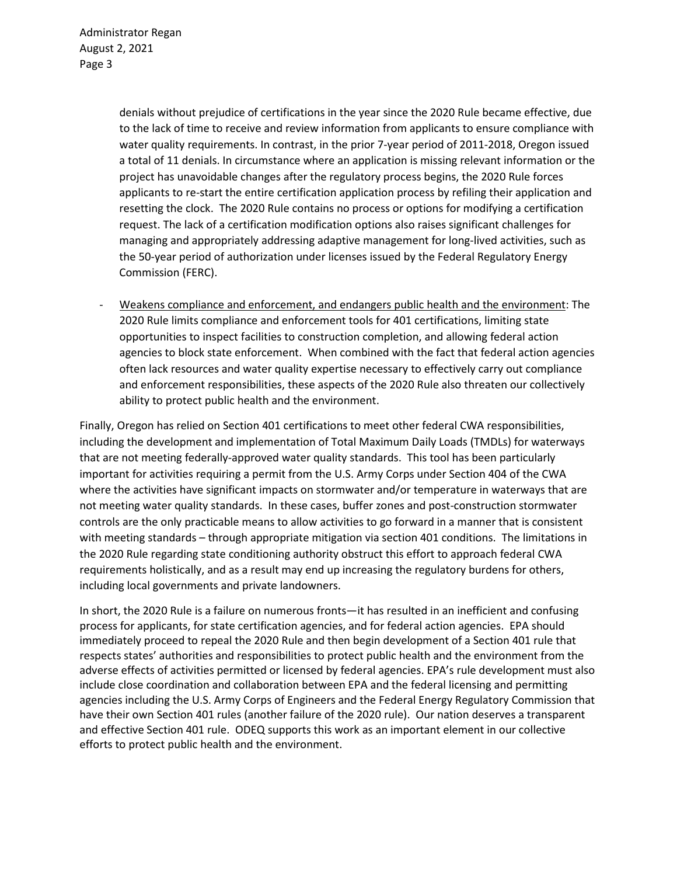denials without prejudice of certifications in the year since the 2020 Rule became effective, due to the lack of time to receive and review information from applicants to ensure compliance with water quality requirements. In contrast, in the prior 7-year period of 2011-2018, Oregon issued a total of 11 denials. In circumstance where an application is missing relevant information or the project has unavoidable changes after the regulatory process begins, the 2020 Rule forces applicants to re-start the entire certification application process by refiling their application and resetting the clock. The 2020 Rule contains no process or options for modifying a certification request. The lack of a certification modification options also raises significant challenges for managing and appropriately addressing adaptive management for long-lived activities, such as the 50-year period of authorization under licenses issued by the Federal Regulatory Energy Commission (FERC).

- Weakens compliance and enforcement, and endangers public health and the environment: The 2020 Rule limits compliance and enforcement tools for 401 certifications, limiting state opportunities to inspect facilities to construction completion, and allowing federal action agencies to block state enforcement. When combined with the fact that federal action agencies often lack resources and water quality expertise necessary to effectively carry out compliance and enforcement responsibilities, these aspects of the 2020 Rule also threaten our collectively ability to protect public health and the environment.

Finally, Oregon has relied on Section 401 certifications to meet other federal CWA responsibilities, including the development and implementation of Total Maximum Daily Loads (TMDLs) for waterways that are not meeting federally-approved water quality standards. This tool has been particularly important for activities requiring a permit from the U.S. Army Corps under Section 404 of the CWA where the activities have significant impacts on stormwater and/or temperature in waterways that are not meeting water quality standards. In these cases, buffer zones and post-construction stormwater controls are the only practicable means to allow activities to go forward in a manner that is consistent with meeting standards – through appropriate mitigation via section 401 conditions. The limitations in the 2020 Rule regarding state conditioning authority obstruct this effort to approach federal CWA requirements holistically, and as a result may end up increasing the regulatory burdens for others, including local governments and private landowners.

In short, the 2020 Rule is a failure on numerous fronts—it has resulted in an inefficient and confusing process for applicants, for state certification agencies, and for federal action agencies. EPA should immediately proceed to repeal the 2020 Rule and then begin development of a Section 401 rule that respects states' authorities and responsibilities to protect public health and the environment from the adverse effects of activities permitted or licensed by federal agencies. EPA's rule development must also include close coordination and collaboration between EPA and the federal licensing and permitting agencies including the U.S. Army Corps of Engineers and the Federal Energy Regulatory Commission that have their own Section 401 rules (another failure of the 2020 rule). Our nation deserves a transparent and effective Section 401 rule. ODEQ supports this work as an important element in our collective efforts to protect public health and the environment.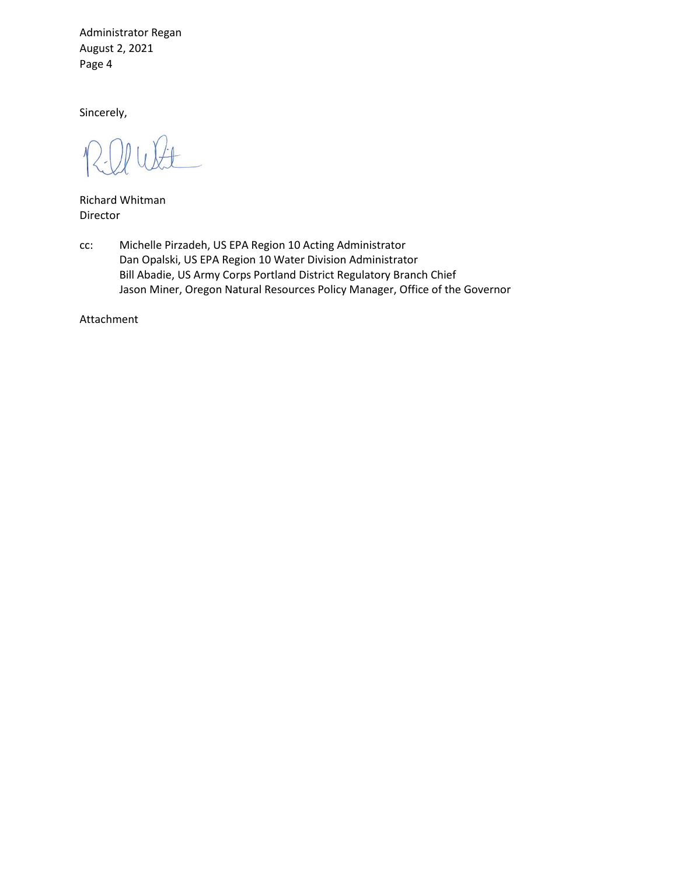Administrator Regan August 2, 2021 Page 4

Sincerely,

Richard Whitman Director

cc: Michelle Pirzadeh, US EPA Region 10 Acting Administrator Dan Opalski, US EPA Region 10 Water Division Administrator Bill Abadie, US Army Corps Portland District Regulatory Branch Chief Jason Miner, Oregon Natural Resources Policy Manager, Office of the Governor

Attachment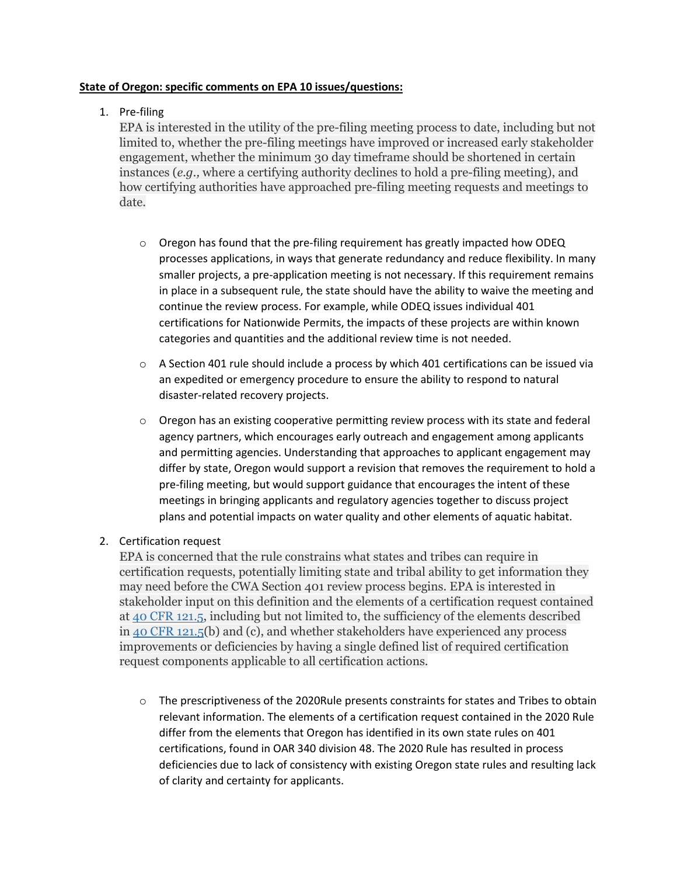### **State of Oregon: specific comments on EPA 10 issues/questions:**

# 1. Pre-filing

EPA is interested in the utility of the pre-filing meeting process to date, including but not limited to, whether the pre-filing meetings have improved or increased early stakeholder engagement, whether the minimum 30 day timeframe should be shortened in certain instances (*e.g.,* where a certifying authority declines to hold a pre-filing meeting), and how certifying authorities have approached pre-filing meeting requests and meetings to date.

- $\circ$  Oregon has found that the pre-filing requirement has greatly impacted how ODEQ processes applications, in ways that generate redundancy and reduce flexibility. In many smaller projects, a pre-application meeting is not necessary. If this requirement remains in place in a subsequent rule, the state should have the ability to waive the meeting and continue the review process. For example, while ODEQ issues individual 401 certifications for Nationwide Permits, the impacts of these projects are within known categories and quantities and the additional review time is not needed.
- $\circ$  A Section 401 rule should include a process by which 401 certifications can be issued via an expedited or emergency procedure to ensure the ability to respond to natural disaster-related recovery projects.
- $\circ$  Oregon has an existing cooperative permitting review process with its state and federal agency partners, which encourages early outreach and engagement among applicants and permitting agencies. Understanding that approaches to applicant engagement may differ by state, Oregon would support a revision that removes the requirement to hold a pre-filing meeting, but would support guidance that encourages the intent of these meetings in bringing applicants and regulatory agencies together to discuss project plans and potential impacts on water quality and other elements of aquatic habitat.

# 2. Certification request

EPA is concerned that the rule constrains what states and tribes can require in certification requests, potentially limiting state and tribal ability to get information they may need before the CWA Section 401 review process begins. EPA is interested in stakeholder input on this definition and the elements of a certification request contained at 40 CFR [121.5,](https://www.federalregister.gov/select-citation/2021/06/02/40-CFR-121.5) including but not limited to, the sufficiency of the elements described in 40 CFR [121.5\(](https://www.federalregister.gov/select-citation/2021/06/02/40-CFR-121.5)b) and (c), and whether stakeholders have experienced any process improvements or deficiencies by having a single defined list of required certification request components applicable to all certification actions.

 $\circ$  The prescriptiveness of the 2020Rule presents constraints for states and Tribes to obtain relevant information. The elements of a certification request contained in the 2020 Rule differ from the elements that Oregon has identified in its own state rules on 401 certifications, found in OAR 340 division 48. The 2020 Rule has resulted in process deficiencies due to lack of consistency with existing Oregon state rules and resulting lack of clarity and certainty for applicants.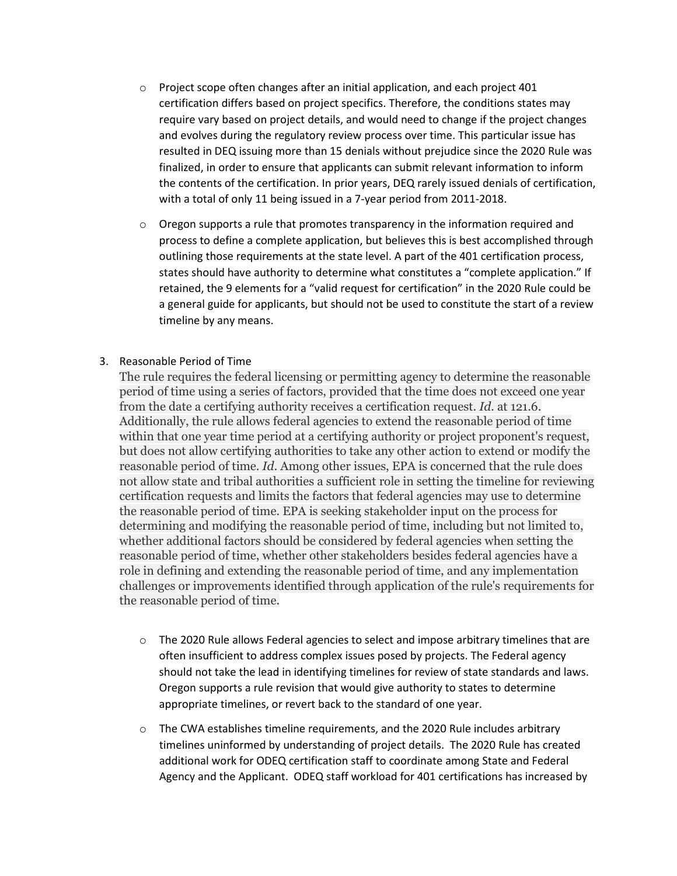- $\circ$  Project scope often changes after an initial application, and each project 401 certification differs based on project specifics. Therefore, the conditions states may require vary based on project details, and would need to change if the project changes and evolves during the regulatory review process over time. This particular issue has resulted in DEQ issuing more than 15 denials without prejudice since the 2020 Rule was finalized, in order to ensure that applicants can submit relevant information to inform the contents of the certification. In prior years, DEQ rarely issued denials of certification, with a total of only 11 being issued in a 7-year period from 2011-2018.
- $\circ$  Oregon supports a rule that promotes transparency in the information required and process to define a complete application, but believes this is best accomplished through outlining those requirements at the state level. A part of the 401 certification process, states should have authority to determine what constitutes a "complete application." If retained, the 9 elements for a "valid request for certification" in the 2020 Rule could be a general guide for applicants, but should not be used to constitute the start of a review timeline by any means.

# 3. Reasonable Period of Time

The rule requires the federal licensing or permitting agency to determine the reasonable period of time using a series of factors, provided that the time does not exceed one year from the date a certifying authority receives a certification request. *Id.* at 121.6. Additionally, the rule allows federal agencies to extend the reasonable period of time within that one year time period at a certifying authority or project proponent's request, but does not allow certifying authorities to take any other action to extend or modify the reasonable period of time. *Id.* Among other issues, EPA is concerned that the rule does not allow state and tribal authorities a sufficient role in setting the timeline for reviewing certification requests and limits the factors that federal agencies may use to determine the reasonable period of time. EPA is seeking stakeholder input on the process for determining and modifying the reasonable period of time, including but not limited to, whether additional factors should be considered by federal agencies when setting the reasonable period of time, whether other stakeholders besides federal agencies have a role in defining and extending the reasonable period of time, and any implementation challenges or improvements identified through application of the rule's requirements for the reasonable period of time.

- o The 2020 Rule allows Federal agencies to select and impose arbitrary timelines that are often insufficient to address complex issues posed by projects. The Federal agency should not take the lead in identifying timelines for review of state standards and laws. Oregon supports a rule revision that would give authority to states to determine appropriate timelines, or revert back to the standard of one year.
- $\circ$  The CWA establishes timeline requirements, and the 2020 Rule includes arbitrary timelines uninformed by understanding of project details. The 2020 Rule has created additional work for ODEQ certification staff to coordinate among State and Federal Agency and the Applicant. ODEQ staff workload for 401 certifications has increased by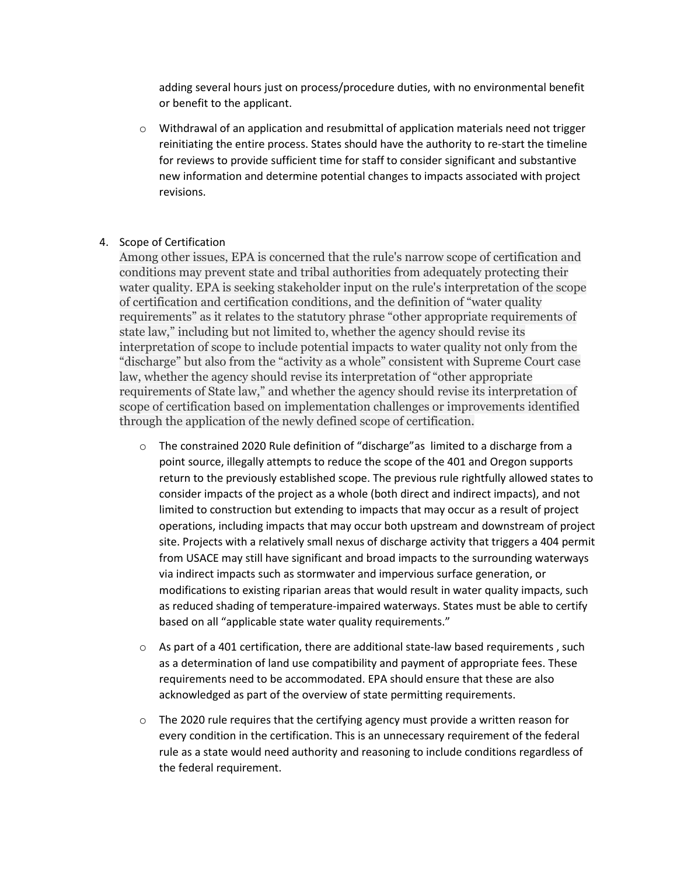adding several hours just on process/procedure duties, with no environmental benefit or benefit to the applicant.

 $\circ$  Withdrawal of an application and resubmittal of application materials need not trigger reinitiating the entire process. States should have the authority to re-start the timeline for reviews to provide sufficient time for staff to consider significant and substantive new information and determine potential changes to impacts associated with project revisions.

#### 4. Scope of Certification

Among other issues, EPA is concerned that the rule's narrow scope of certification and conditions may prevent state and tribal authorities from adequately protecting their water quality. EPA is seeking stakeholder input on the rule's interpretation of the scope of certification and certification conditions, and the definition of "water quality requirements" as it relates to the statutory phrase "other appropriate requirements of state law," including but not limited to, whether the agency should revise its interpretation of scope to include potential impacts to water quality not only from the "discharge" but also from the "activity as a whole" consistent with Supreme Court case law, whether the agency should revise its interpretation of "other appropriate requirements of State law," and whether the agency should revise its interpretation of scope of certification based on implementation challenges or improvements identified through the application of the newly defined scope of certification.

- $\circ$  The constrained 2020 Rule definition of "discharge" as limited to a discharge from a point source, illegally attempts to reduce the scope of the 401 and Oregon supports return to the previously established scope. The previous rule rightfully allowed states to consider impacts of the project as a whole (both direct and indirect impacts), and not limited to construction but extending to impacts that may occur as a result of project operations, including impacts that may occur both upstream and downstream of project site. Projects with a relatively small nexus of discharge activity that triggers a 404 permit from USACE may still have significant and broad impacts to the surrounding waterways via indirect impacts such as stormwater and impervious surface generation, or modifications to existing riparian areas that would result in water quality impacts, such as reduced shading of temperature-impaired waterways. States must be able to certify based on all "applicable state water quality requirements."
- $\circ$  As part of a 401 certification, there are additional state-law based requirements, such as a determination of land use compatibility and payment of appropriate fees. These requirements need to be accommodated. EPA should ensure that these are also acknowledged as part of the overview of state permitting requirements.
- $\circ$  The 2020 rule requires that the certifying agency must provide a written reason for every condition in the certification. This is an unnecessary requirement of the federal rule as a state would need authority and reasoning to include conditions regardless of the federal requirement.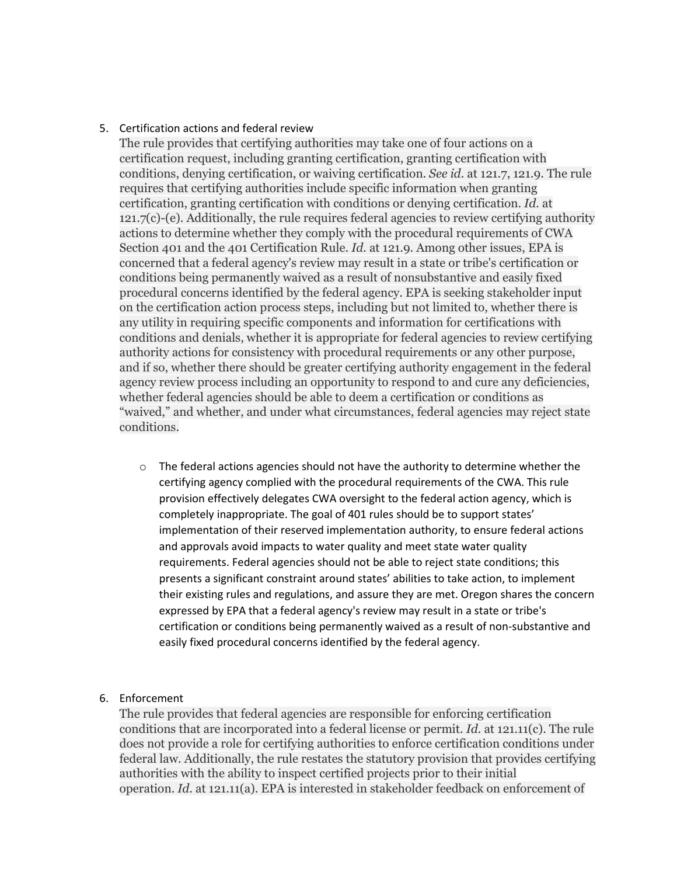#### 5. Certification actions and federal review

The rule provides that certifying authorities may take one of four actions on a certification request, including granting certification, granting certification with conditions, denying certification, or waiving certification. *See id.* at 121.7, 121.9. The rule requires that certifying authorities include specific information when granting certification, granting certification with conditions or denying certification. *Id.* at 121.7(c)-(e). Additionally, the rule requires federal agencies to review certifying authority actions to determine whether they comply with the procedural requirements of CWA Section 401 and the 401 Certification Rule. *Id.* at 121.9. Among other issues, EPA is concerned that a federal agency's review may result in a state or tribe's certification or conditions being permanently waived as a result of nonsubstantive and easily fixed procedural concerns identified by the federal agency. EPA is seeking stakeholder input on the certification action process steps, including but not limited to, whether there is any utility in requiring specific components and information for certifications with conditions and denials, whether it is appropriate for federal agencies to review certifying authority actions for consistency with procedural requirements or any other purpose, and if so, whether there should be greater certifying authority engagement in the federal agency review process including an opportunity to respond to and cure any deficiencies, whether federal agencies should be able to deem a certification or conditions as "waived," and whether, and under what circumstances, federal agencies may reject state conditions.

 $\circ$  The federal actions agencies should not have the authority to determine whether the certifying agency complied with the procedural requirements of the CWA. This rule provision effectively delegates CWA oversight to the federal action agency, which is completely inappropriate. The goal of 401 rules should be to support states' implementation of their reserved implementation authority, to ensure federal actions and approvals avoid impacts to water quality and meet state water quality requirements. Federal agencies should not be able to reject state conditions; this presents a significant constraint around states' abilities to take action, to implement their existing rules and regulations, and assure they are met. Oregon shares the concern expressed by EPA that a federal agency's review may result in a state or tribe's certification or conditions being permanently waived as a result of non-substantive and easily fixed procedural concerns identified by the federal agency.

### 6. Enforcement

The rule provides that federal agencies are responsible for enforcing certification conditions that are incorporated into a federal license or permit. *Id.* at 121.11(c). The rule does not provide a role for certifying authorities to enforce certification conditions under federal law. Additionally, the rule restates the statutory provision that provides certifying authorities with the ability to inspect certified projects prior to their initial operation. *Id.* at 121.11(a). EPA is interested in stakeholder feedback on enforcement of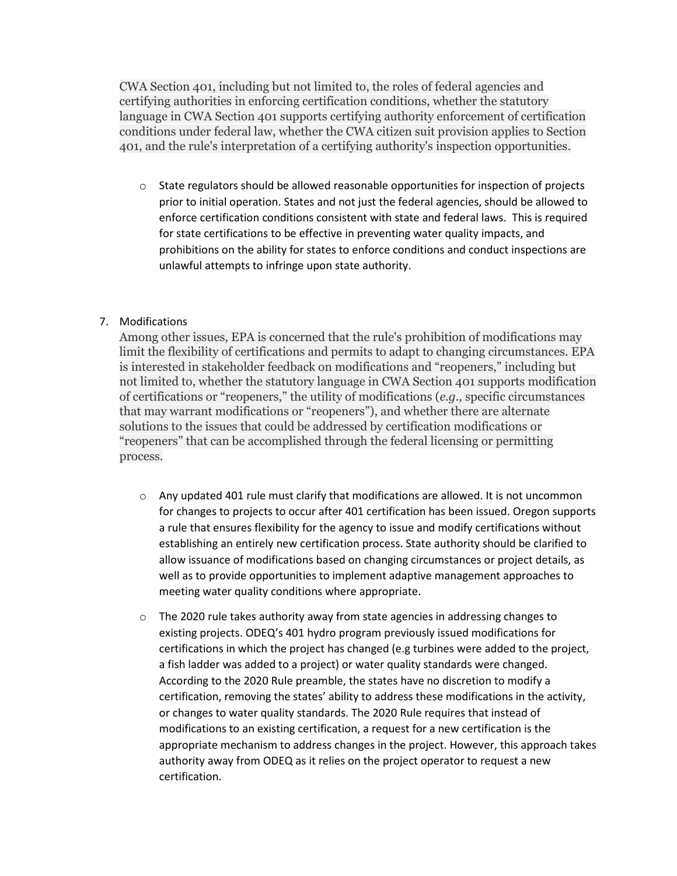CWA Section 401, including but not limited to, the roles of federal agencies and certifying authorities in enforcing certification conditions, whether the statutory language in CWA Section 401 supports certifying authority enforcement of certification conditions under federal law, whether the CWA citizen suit provision applies to Section 401, and the rule's interpretation of a certifying authority's inspection opportunities.

 $\circ$  State regulators should be allowed reasonable opportunities for inspection of projects prior to initial operation. States and not just the federal agencies, should be allowed to enforce certification conditions consistent with state and federal laws. This is required for state certifications to be effective in preventing water quality impacts, and prohibitions on the ability for states to enforce conditions and conduct inspections are unlawful attempts to infringe upon state authority.

# 7. Modifications

Among other issues, EPA is concerned that the rule's prohibition of modifications may limit the flexibility of certifications and permits to adapt to changing circumstances. EPA is interested in stakeholder feedback on modifications and "reopeners," including but not limited to, whether the statutory language in CWA Section 401 supports modification of certifications or "reopeners," the utility of modifications (*e.g.,* specific circumstances that may warrant modifications or "reopeners"), and whether there are alternate solutions to the issues that could be addressed by certification modifications or "reopeners" that can be accomplished through the federal licensing or permitting process.

- $\circ$  Any updated 401 rule must clarify that modifications are allowed. It is not uncommon for changes to projects to occur after 401 certification has been issued. Oregon supports a rule that ensures flexibility for the agency to issue and modify certifications without establishing an entirely new certification process. State authority should be clarified to allow issuance of modifications based on changing circumstances or project details, as well as to provide opportunities to implement adaptive management approaches to meeting water quality conditions where appropriate.
- $\circ$  The 2020 rule takes authority away from state agencies in addressing changes to existing projects. ODEQ's 401 hydro program previously issued modifications for certifications in which the project has changed (e.g turbines were added to the project, a fish ladder was added to a project) or water quality standards were changed. According to the 2020 Rule preamble, the states have no discretion to modify a certification, removing the states' ability to address these modifications in the activity, or changes to water quality standards. The 2020 Rule requires that instead of modifications to an existing certification, a request for a new certification is the appropriate mechanism to address changes in the project. However, this approach takes authority away from ODEQ as it relies on the project operator to request a new certification.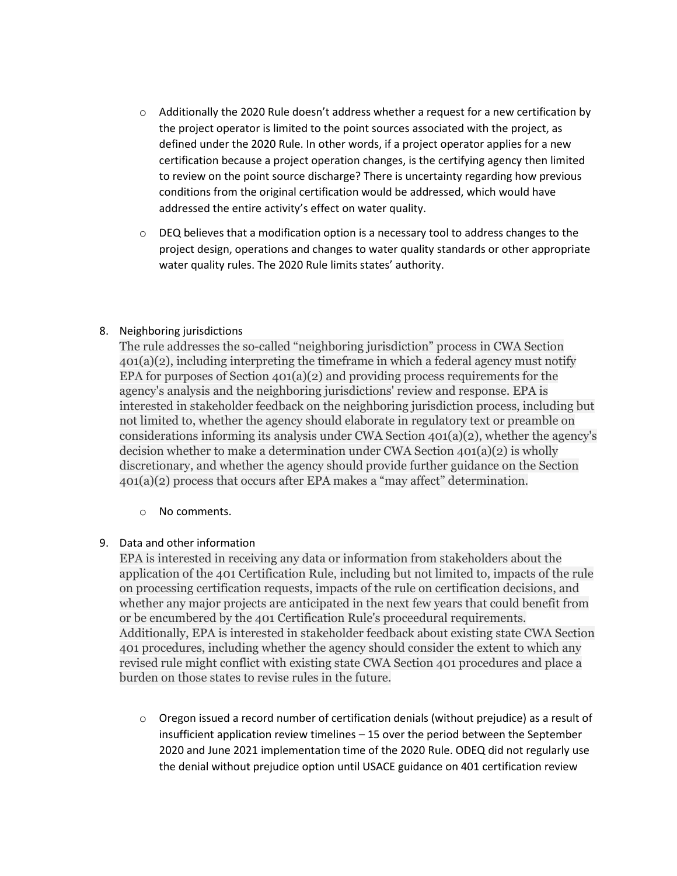- $\circ$  Additionally the 2020 Rule doesn't address whether a request for a new certification by the project operator is limited to the point sources associated with the project, as defined under the 2020 Rule. In other words, if a project operator applies for a new certification because a project operation changes, is the certifying agency then limited to review on the point source discharge? There is uncertainty regarding how previous conditions from the original certification would be addressed, which would have addressed the entire activity's effect on water quality.
- $\circ$  DEQ believes that a modification option is a necessary tool to address changes to the project design, operations and changes to water quality standards or other appropriate water quality rules. The 2020 Rule limits states' authority.

### 8. Neighboring jurisdictions

The rule addresses the so-called "neighboring jurisdiction" process in CWA Section 401(a)(2), including interpreting the timeframe in which a federal agency must notify EPA for purposes of Section  $401(a)(2)$  and providing process requirements for the agency's analysis and the neighboring jurisdictions' review and response. EPA is interested in stakeholder feedback on the neighboring jurisdiction process, including but not limited to, whether the agency should elaborate in regulatory text or preamble on considerations informing its analysis under CWA Section  $401(a)(2)$ , whether the agency's decision whether to make a determination under CWA Section 401(a)(2) is wholly discretionary, and whether the agency should provide further guidance on the Section 401(a)(2) process that occurs after EPA makes a "may affect" determination.

# o No comments.

# 9. Data and other information

EPA is interested in receiving any data or information from stakeholders about the application of the 401 Certification Rule, including but not limited to, impacts of the rule on processing certification requests, impacts of the rule on certification decisions, and whether any major projects are anticipated in the next few years that could benefit from or be encumbered by the 401 Certification Rule's proceedural requirements. Additionally, EPA is interested in stakeholder feedback about existing state CWA Section 401 procedures, including whether the agency should consider the extent to which any revised rule might conflict with existing state CWA Section 401 procedures and place a burden on those states to revise rules in the future.

 $\circ$  Oregon issued a record number of certification denials (without prejudice) as a result of insufficient application review timelines – 15 over the period between the September 2020 and June 2021 implementation time of the 2020 Rule. ODEQ did not regularly use the denial without prejudice option until USACE guidance on 401 certification review